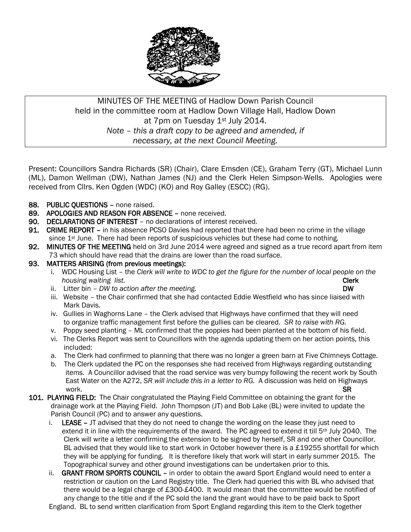

# MINUTES OF THE MEETING of Hadlow Down Parish Council held in the committee room at Hadlow Down Village Hall, Hadlow Down at 7pm on Tuesday 1<sup>st</sup> July 2014. *Note – this a draft copy to be agreed and amended, if necessary, at the next Council Meeting.*

Present: Councillors Sandra Richards (SR) (Chair), Clare Emsden (CE), Graham Terry (GT), Michael Lunn (ML), Damon Wellman (DW), Nathan James (NJ) and the Clerk Helen Simpson-Wells. Apologies were received from Cllrs. Ken Ogden (WDC) (KO) and Roy Galley (ESCC) (RG).

- 88. PUBLIC OUESTIONS none raised.
- 89. APOLOGIES AND REASON FOR ABSENCE none received.
- 90. DECLARATIONS OF INTEREST no declarations of interest received.
- 91. CRIME REPORT in his absence PCSO Davies had reported that there had been no crime in the village since  $1<sup>st</sup>$  June. There had been reports of suspicious vehicles but these had come to nothing.
- 92. MINUTES OF THE MEETING held on 3rd June 2014 were agreed and signed as a true record apart from item 73 which should have read that the drains are lower than the road surface.
- 93. MATTERS ARISING (from previous meetings):
	- i. WDC Housing List the *Clerk will write to WDC to get the figure for the number of local people on the housing waiting list.* Clerk **Clerk Clerk Clerk Clerk Clerk**
	- ii. Litter bin *DW* to action after the meeting.
	- iii. Website the Chair confirmed that she had contacted Eddie Westfield who has since liaised with Mark Davis.
	- iv. Gullies in Waghorns Lane the Clerk advised that Highways have confirmed that they will need to organize traffic management first before the gullies can be cleared. *SR to raise with RG.*
	- v. Poppy seed planting ML confirmed that the poppies had been planted at the bottom of his field.
	- vi. The Clerks Report was sent to Councillors with the agenda updating them on her action points, this included:
	- a. The Clerk had confirmed to planning that there was no longer a green barn at Five Chimneys Cottage.
	- b. The Clerk updated the PC on the responses she had received from Highways regarding outstanding items. A Councillor advised that the road service was very bumpy following the recent work by South East Water on the A272, *SR will include this in a letter to RG.* A discussion was held on Highways work. SR
- 101. PLAYING FIELD: The Chair congratulated the Playing Field Committee on obtaining the grant for the drainage work at the Playing Field. John Thompson (JT) and Bob Lake (BL) were invited to update the Parish Council (PC) and to answer any questions.
	- i. LEASE  $-$  JT advised that they do not need to change the wording on the lease they just need to extend it in line with the requirements of the award. The PC agreed to extend it till  $5<sup>th</sup>$  July 2040. The Clerk will write a letter confirming the extension to be signed by herself, SR and one other Councillor. BL advised that they would like to start work in October however there is a £19255 shortfall for which they will be applying for funding. It is therefore likely that work will start in early summer 2015. The Topographical survey and other ground investigations can be undertaken prior to this.
	- ii. GRANT FROM SPORTS COUNCIL in order to obtain the award Sport England would need to enter a restriction or caution on the Land Registry title. The Clerk had queried this with BL who advised that there would be a legal charge of £300-£400. It would mean that the committee would be notified of any change to the title and if the PC sold the land the grant would have to be paid back to Sport

England. BL to send written clarification from Sport England regarding this item to the Clerk together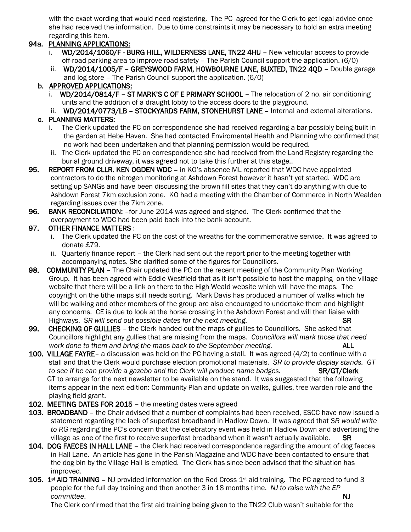with the exact wording that would need registering. The PC agreed for the Clerk to get legal advice once she had received the information. Due to time constraints it may be necessary to hold an extra meeting regarding this item.

## 94a. PLANNING APPLICATIONS:

- i. WD/2014/1060/F BURG HILL, WILDERNESS LANE, TN22 4HU New vehicular access to provide off-road parking area to improve road safety – The Parish Council support the application. (6/0)
- ii. WD/2014/1005/F GREYSWOOD FARM, HOWBOURNE LANE, BUXTED, TN22 40D Double garage and log store – The Parish Council support the application. (6/0)

## b. APPROVED APPLICATIONS:

- i. WD/2014/0814/F ST MARK'S C OF E PRIMARY SCHOOL The relocation of 2 no. air conditioning units and the addition of a draught lobby to the access doors to the playground.
- ii. WD/2014/0773/LB STOCKYARDS FARM, STONEHURST LANE Internal and external alterations.

## c. PLANNING MATTERS:

- i. The Clerk updated the PC on correspondence she had received regarding a bar possibly being built in the garden at Hebe Haven. She had contacted Enviromental Health and Planning who confirmed that no work had been undertaken and that planning permission would be required.
- ii. The Clerk updated the PC on correspondence she had received from the Land Registry regarding the burial ground driveway, it was agreed not to take this further at this stage..
- 95. REPORT FROM CLLR. KEN OGDEN WDC in KO's absence ML reported that WDC have appointed contractors to do the nitrogen monitoring at Ashdown Forest however it hasn't yet started. WDC are setting up SANGs and have been discussing the brown fill sites that they can't do anything with due to Ashdown Forest 7km exclusion zone. KO had a meeting with the Chamber of Commerce in North Wealden regarding issues over the 7km zone.
- 96. BANK RECONCILIATION: for June 2014 was agreed and signed. The Clerk confirmed that the overpayment to WDC had been paid back into the bank account.

## 97. OTHER FINANCE MATTERS :

- i. The Clerk updated the PC on the cost of the wreaths for the commemorative service. It was agreed to donate £79.
- ii. Quarterly finance report the Clerk had sent out the report prior to the meeting together with accompanying notes. She clarified some of the figures for Councillors.
- 98. COMMUNITY PLAN The Chair updated the PC on the recent meeting of the Community Plan Working Group. It has been agreed with Eddie Westfield that as it isn't possible to host the mapping on the village website that there will be a link on there to the High Weald website which will have the maps. The copyright on the tithe maps still needs sorting. Mark Davis has produced a number of walks which he will be walking and other members of the group are also encouraged to undertake them and highlight any concerns. CE is due to look at the horse crossing in the Ashdown Forest and will then liaise with Highways. *SR will send out possible dates for the next meeting.* SR
- 99. CHECKING OF GULLIES the Clerk handed out the maps of gullies to Councillors. She asked that Councillors highlight any gullies that are missing from the maps. *Councillors will mark those that need* work done to them and bring the maps back to the September meeting. **ALL**
- 100. VILLAGE FAYRE- a discussion was held on the PC having a stall. It was agreed  $(4/2)$  to continue with a stall and that the Clerk would purchase election promotional materials. *SR to provide display stands. GT*  to see if he can provide a gazebo and the Clerk will produce name badges. **SR/GT/Clerk**  GT to arrange for the next newsletter to be available on the stand. It was suggested that the following items appear in the next edition: Community Plan and update on walks, gullies, tree warden role and the playing field grant.
- 102. MEETING DATES FOR 2015 the meeting dates were agreed
- 103. BROADBAND the Chair advised that a number of complaints had been received, ESCC have now issued a statement regarding the lack of superfast broadband in Hadlow Down. It was agreed that *SR would write to RG* regarding the PC's concern that the celebratory event was held in Hadlow Down and advertising the village as one of the first to receive superfast broadband when it wasn't actually available.SR
- 104. DOG FAECES IN HALL LANE the Clerk had received correspondence regarding the amount of dog faeces in Hall Lane. An article has gone in the Parish Magazine and WDC have been contacted to ensure that the dog bin by the Village Hall is emptied. The Clerk has since been advised that the situation has improved.
- 105. 1<sup>st</sup> AID TRAINING NJ provided information on the Red Cross 1<sup>st</sup> aid training. The PC agreed to fund 3 people for the full day training and then another 3 in 18 months time. *NJ to raise with the EP committee.* NJ

The Clerk confirmed that the first aid training being given to the TN22 Club wasn't suitable for the